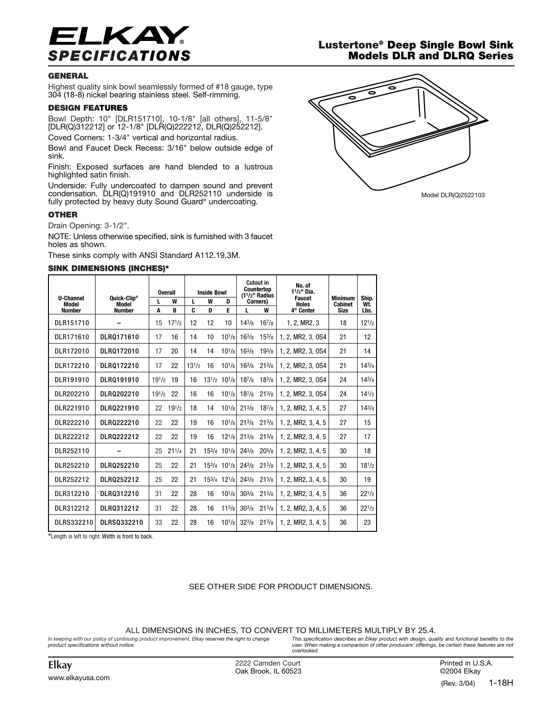

## **GENERAL**

Highest quality sink bowl seamlessly formed of #18 gauge, type 304 (18-8) nickel bearing stainless steel. Self-rimming.

#### **DESIGN FEATURES**

Bowl Depth: 10" [DLR151710], 10-1/8" [all others], 11-5/8" [DLR(Q)312212] or 12-1/8" [DLR(Q)222212, DLR(Q)252212].

Coved Corners: 1-3/4" vertical and horizontal radius.

Bowl and Faucet Deck Recess: 3/16" below outside edge of sink.

Finish: Exposed surfaces are hand blended to a lustrous highlighted satin finish.

Underside: Fully undercoated to dampen sound and prevent condensation. DLR(Q)191910 and DLR252110 underside is fully protected by heavy duty Sound Guard® undercoating.

### **OTHER**

Drain Opening: 3-1/2".

NOTE: Unless otherwise specified, sink is furnished with 3 faucet holes as shown.

These sinks comply with ANSI Standard A112.19.3M.

#### **SINK DIMENSIONS (INCHES)\***

| <b>U-Channel</b>       | Quick-Clip®            | <b>Overall</b><br>W |            | <b>Inside Bowl</b><br>W<br>L<br>D |    |                                           | <b>Cutout in</b><br><b>Countertop</b><br>$(11/2"$ Radius<br>Corners) |             | No. of<br>$11/2$ " Dia.<br><b>Faucet</b> | <b>Minimum</b>                | Ship.       |
|------------------------|------------------------|---------------------|------------|-----------------------------------|----|-------------------------------------------|----------------------------------------------------------------------|-------------|------------------------------------------|-------------------------------|-------------|
| Model<br><b>Number</b> | Model<br><b>Number</b> | L<br>A              | B          | C.                                | D  | E                                         | L                                                                    | W           | <b>Holes</b><br>4" Center                | <b>Cabinet</b><br><b>Size</b> | Wt.<br>Lbs. |
| DLR151710              |                        | 15                  | $17^{1/2}$ | 12                                | 12 | 10                                        | $14^{3}/8$                                                           | $16^{7}/8$  | 1, 2, MR2, 3                             | 18                            | $12^{1/2}$  |
| DLR171610              | DLR0171610             | 17                  | 16         | 14                                | 10 | $10^{1/s}$                                | $16^{3}/s$                                                           | $15^{3}/8$  | 1, 2, MR2, 3, 0S4                        | 21                            | 12          |
| DLR172010              | DLR0172010             | 17                  | 20         | 14                                | 14 | $10^{1/8}$                                | $16^{3}/8$                                                           | $19^{3}/8$  | 1. 2. MR2. 3. OS4                        | 21                            | 14          |
| DLR172210              | DLR0172210             | 17                  | 22         | $13^{1/2}$                        | 16 | $10^{1/s}$                                | $16^{3}/s$                                                           | $21^{3}/8$  | 1.2. MR2. 3. 0S4                         | 21                            | $14^{3}/4$  |
| DLR191910              | DLR0191910             | $19^{1/2}$          | 19         | 16                                |    | $13^{1/2}$ 10 <sup>1</sup> / <sub>8</sub> | $18^{7}/_8$                                                          | $18^{3}/8$  | 1.2. MR2. 3. 0S4                         | 24                            | $14^{3}/4$  |
| DLR202210              | DLR0202210             | $19^{1/2}$          | 22         | 16                                | 16 | $10^{1/s}$                                | $18^{7}/8$                                                           | $21^{3}/8$  | 1.2. MR2. 3. 0S4                         | 24                            | $14^{1/2}$  |
| DLR221910              | DLR0221910             | 22                  | $19^{1/2}$ | 18                                | 14 | $10^{1/s}$                                | $21^{3}/8$                                                           | $18^{7}/_8$ | 1.2. MR2. 3.4.5                          | 27                            | $14^{3}/4$  |
| DLR222210              | DLR0222210             | 22                  | 22         | 19                                | 16 | $10^{1/s}$                                | $21^{3}/8$                                                           | $21^{3}/8$  | 1, 2, MR2, 3, 4, 5                       | 27                            | 15          |
| DLR222212              | DLR0222212             | 22                  | 22         | 19                                | 16 | $12^{1/8}$                                | $21^{3}/8$                                                           | $21^{3/8}$  | 1, 2, MR2, 3, 4, 5                       | 27                            | 17          |
| DLR252110              |                        | 25                  | $21^{1/4}$ | 21                                |    | 153/4 101/8                               | $24^{3}/8$                                                           | $20^{5}/s$  | 1, 2, MR2, 3, 4, 5                       | 30                            | 18          |
| DLR252210              | DLR0252210             | 25                  | 22         | 21                                |    | $15^{3}/4$ $10^{1}/8$                     | $24^{3}/8$                                                           | $21^{3}/8$  | 1, 2, MR2, 3, 4, 5                       | 30                            | $18^{1/2}$  |
| DLR252212              | DLR0252212             | 25                  | 22         | 21                                |    | 153/4 121/8                               | $24^{3}/8$                                                           | $21^{3}/8$  | 1.2. MR2. 3.4.5                          | 30                            | 19          |
| DLR312210              | DLR0312210             | 31                  | 22         | 28                                | 16 | $10^{1/s}$                                | $30^{3}/\mathrm{s}$                                                  | $21^{3}/8$  | 1.2. MR2. 3.4.5                          | 36                            | $22^{1/2}$  |
| DLR312212              | DLRQ312212             | 31                  | 22         | 28                                | 16 | $11^{5}/8$                                | $30^{3}/\mathrm{s}$                                                  | $21^{3}/8$  | 1, 2, MR2, 3, 4, 5                       | 36                            | $22^{1/2}$  |
| DLRS332210             | DLRS0332210            | 33                  | 22         | 28                                | 16 | $10^{1/s}$                                | $32^{3}/8$                                                           | $21^{3}/8$  | 1, 2, MR2, 3, 4, 5                       | 36                            | 23          |

**\***Length is left to right. Width is front to back.

## SEE OTHER SIDE FOR PRODUCT DIMENSIONS.

ALL DIMENSIONS IN INCHES, TO CONVERT TO MILLIMETERS MULTIPLY BY 25.4.

*In keeping with our policy of continuing product improvement, Elkay reserves the right to change product specifications without notice.*

*This specification describes an Elkay product with design, quality and functional benefits to the user. When making a comparison of other producers' offerings, be certain these features are not overlooked.*

**Elkay** 2222 Camden Court Oak Brook, IL 60523